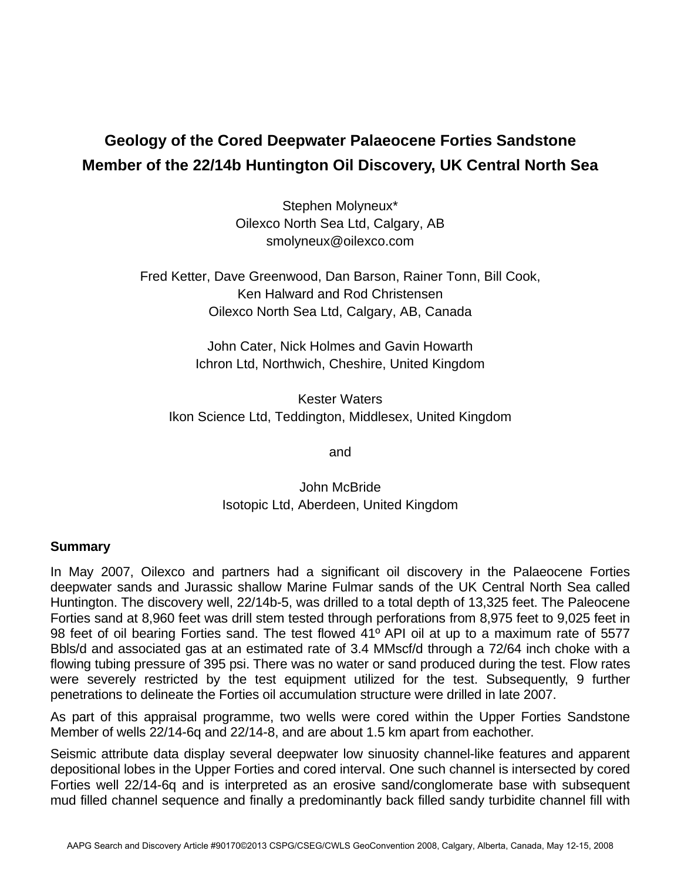## **Geology of the Cored Deepwater Palaeocene Forties Sandstone Member of the 22/14b Huntington Oil Discovery, UK Central North Sea**

Stephen Molyneux\* Oilexco North Sea Ltd, Calgary, AB smolyneux@oilexco.com

Fred Ketter, Dave Greenwood, Dan Barson, Rainer Tonn, Bill Cook, Ken Halward and Rod Christensen Oilexco North Sea Ltd, Calgary, AB, Canada

> John Cater, Nick Holmes and Gavin Howarth Ichron Ltd, Northwich, Cheshire, United Kingdom

Kester Waters Ikon Science Ltd, Teddington, Middlesex, United Kingdom

and

John McBride Isotopic Ltd, Aberdeen, United Kingdom

## **Summary**

In May 2007, Oilexco and partners had a significant oil discovery in the Palaeocene Forties deepwater sands and Jurassic shallow Marine Fulmar sands of the UK Central North Sea called Huntington. The discovery well, 22/14b-5, was drilled to a total depth of 13,325 feet. The Paleocene Forties sand at 8,960 feet was drill stem tested through perforations from 8,975 feet to 9,025 feet in 98 feet of oil bearing Forties sand. The test flowed 41º API oil at up to a maximum rate of 5577 Bbls/d and associated gas at an estimated rate of 3.4 MMscf/d through a 72/64 inch choke with a flowing tubing pressure of 395 psi. There was no water or sand produced during the test. Flow rates were severely restricted by the test equipment utilized for the test. Subsequently, 9 further penetrations to delineate the Forties oil accumulation structure were drilled in late 2007.

As part of this appraisal programme, two wells were cored within the Upper Forties Sandstone Member of wells 22/14-6q and 22/14-8, and are about 1.5 km apart from eachother.

Seismic attribute data display several deepwater low sinuosity channel-like features and apparent depositional lobes in the Upper Forties and cored interval. One such channel is intersected by cored Forties well 22/14-6q and is interpreted as an erosive sand/conglomerate base with subsequent mud filled channel sequence and finally a predominantly back filled sandy turbidite channel fill with